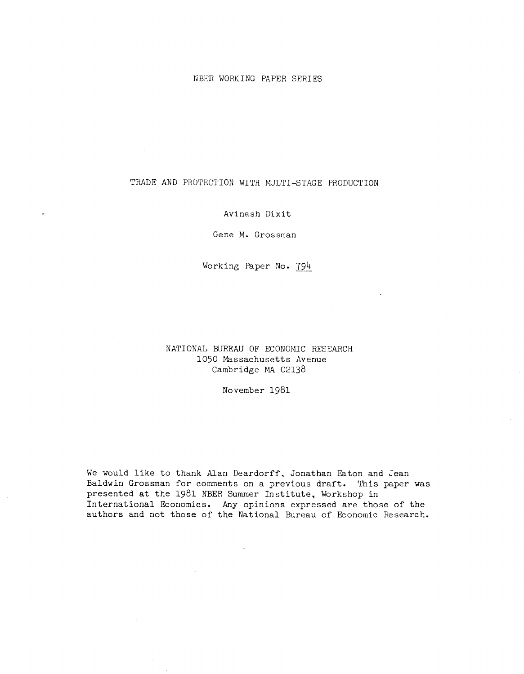### NBER WORKING PAPER SERIES

## TRADE AND PROTECTION WITH MULTI—STAGE PHODUCTION

## Avinash Dixit

Gene M. Grossman

Working Paper No. 794

# NATIONAL BUREAU OF ECONOMIC RESEARCH 1050 Massachusetts Avenue Cambridge MA 02138

November 1981

We would like to thank Alan Deardorff, Jonathan Eaton and Jean Baldwin Grossman for comments on a previous draft. This paper was presented at the 1981 NBER Summer Institute, Workshop in International Economics. Any opinions expressed are those of the authors and not those of the National Bureau of Economic Research.

 $\mathbb{R}^2$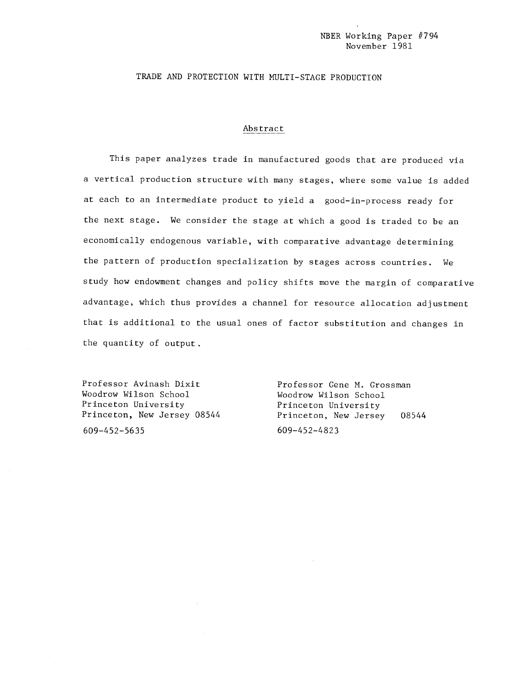### TRADE AND PROTECTION WITH MULTI-STAGE PRODUCTION

#### Abstract

This paper analyzes trade in manufactured goods that are produced via a vertical production structure with many stages, where some value is added at each to an intermediate product to yield a good—in—process ready for the next stage. We consider the stage at which a good is traded to be an economically endogenous variable, with comparative advantage determining the pattern of production specialization by stages across countries. We study how endowment changes and policy shifts move the margin of comparative advantage, which thus provides a channel for resource allocation adjustment that is additional to the usual ones of factor substitution and changes in the quantity of output.

Professor Avinash Dixit Professor Gene M. Grossman Woodrow Wilson School Noodrow Wilson School Princeton University Princeton University

609—452—5635 609—452—4823

Princeton, New Jersey 08544 Princeton, New Jersey 08544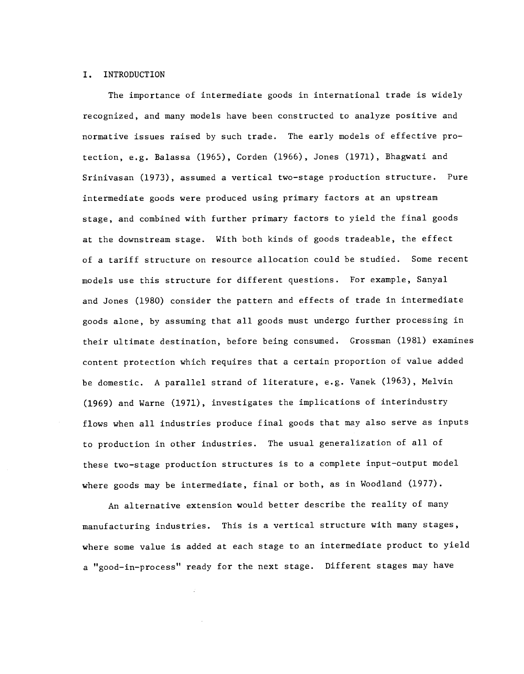#### I. INTRODUCTION

The importance of intermediate goods in international trade is widely recognized, and many models have been constructed to analyze positive and normative issues raised by such trade. The early models of effective protection, e.g. Balassa (1965), Corden (1966), Jones (1971), Bhagwati and Srinivasan (1973), assumed a vertical two—stage production structure. Pure intermediate goods were produced using primary factors at an upstream stage, and combined with further primary factors to yield the final goods at the downstream stage. With both kinds of goods tradeable, the effect of a tariff structure on resource allocation could be studied. Some recent models use this structure for different questions. For example, Sanyal and Jones (1980) consider the pattern and effects of trade in intermediate goods alone, by assuming that all goods must undergo further processing in their ultimate destination, before being consumed. Grossman (1981) examines content protection which requires that a certain proportion of value added be domestic. A parallel strand of literature, e.g. Vanek (1963), Melvin (1969) and Warne (1971), investigates the implications of interindustry flows when all industries produce final goods that may also serve as inputs to production in other industries. The usual generalization of all of these two—stage production structures is to a complete input—output model where goods may be intermediate, final or both, as in Woodland (1977).

An alternative extension would better describe the reality of many manufacturing industries. This is a vertical structure with many stages, where some value is added at each stage to an intermediate product to yield a "good—in—process" ready for the next stage. Different stages may have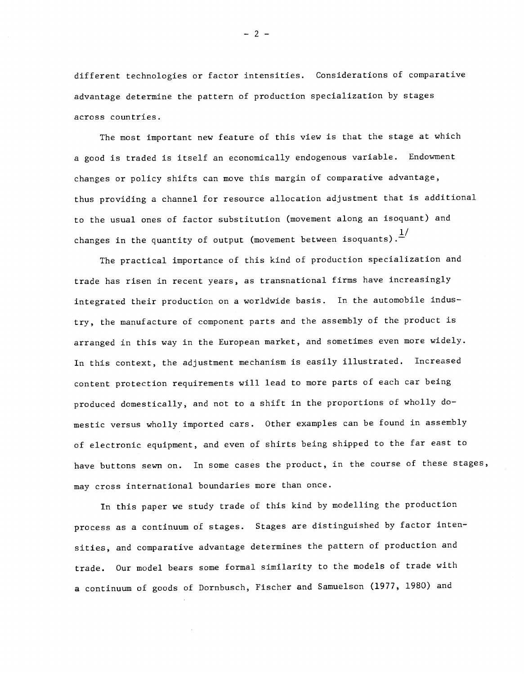different technologies or factor intensities. Considerations of comparative advantage determine the pattern of production specialization by stages across countries.

The most important new feature of this view is that the stage at which a good is traded is itself an economically endogenous variable. Endowment changes or policy shifts can move this margin of comparative advantage, thus providing a channel for resource allocation adjustment that is additional to the usual ones of factor substitution (movement along an isoquant) and changes in the quantity of output (movement between isoquants).  $\frac{1}{1}$ 

The practical importance of this kind of production specialization and trade has risen in recent years, as transnational firms have increasingly integrated their production on a worldwide basis. In the automobile industry, the manufacture of component parts and the assembly of the product is arranged in this way in the European market, and sometimes even more widely. In this context, the adjustment mechanism is easily illustrated. Increased content protection requirements will lead to more parts of each car being produced domestically, and not to a shift in the proportions of wholly domestic versus wholly imported cars. Other examples can be found in assembly of electronic equipment, and even of shirts being shipped to the far east to have buttons sewn on. In some cases the product, in the course of these stages, may cross international boundaries more than once.

In this paper we study trade of this kind by modelling the production process as a continuum of stages. Stages are distinguished by factor intensities, and comparative advantage determines the pattern of production and trade. Our model bears some formal similarity to the models of trade with a continuum of goods of Dornbusch, Fischer and Samuelson (1977, 1980) and

 $-2-$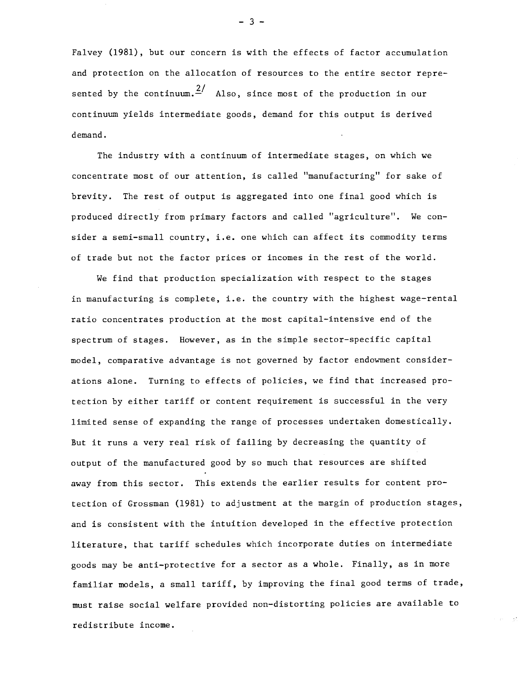Falvey (1981), but our concern is with the effects of factor accumulation and protection on the allocation of resources to the entire sector represented by the continuum.  $\frac{2}{ }$  Also, since most of the production in our continuum yields intermediate goods, demand for this output is derived demand.

The industry with a continuum of intermediate stages, on which we concentrate most of our attention, is called "manufacturing" for sake of brevity. The rest of output is aggregated into one final good which is produced directly from primary factors and called "agriculture". We consider a semi-small country, i.e. one which can affect its commodity terms of trade but not the factor prices or incomes in the rest of the world.

We find that production specialization with respect to the stages in manufacturing is complete, i.e. the country with the highest wage-rental ratio concentrates production at the most capital—intensive end of the spectrum of stages. However, as in the simple sector—specific capital model, comparative advantage is not governed by factor endowment considerations alone. Turning to effects of policies, we find that increased protection by either tariff or content requirement is successful in the very limited sense of expanding the range of processes undertaken domestically. But it runs a very real risk of failing by decreasing the quantity of output of the manufactured good by so much that resources are shifted away from this sector. This extends the earlier results for content protection of Grossman (1981) to adjustment at the margin of production stages, and is consistent with the intuition developed in the effective protection literature, that tariff schedules which incorporate duties on intermediate goods may be anti—protective for a sector as a whole. Finally, as in more familiar models, a small tariff, by improving the final good terms of trade, must raise social welfare provided non—distorting policies are available to redistribute income.

—3--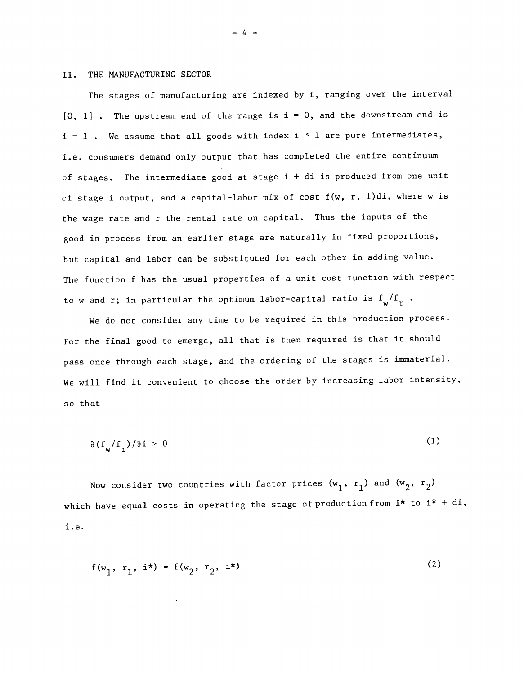#### II. THE MANUFACTURING SECTOR

The stages of manufacturing are indexed by i, ranging over the interval  $[0, 1]$ . The upstream end of the range is i = 0, and the downstream end is  $i = 1$ . We assume that all goods with index  $i \leq 1$  are pure intermediates, i.e. consumers demand only output that has completed the entire continuum of stages. The intermediate good at stage i + di is produced from one unit of stage i output, and a capital—labor mix of cost f(w, r, i)di, where w is the wage rate and r the rental rate on capital. Thus the inputs of the good in process from an earlier stage are naturally in fixed proportions, but capital and labor can be substituted for each other in adding value. The function f has the usual properties of a unit cost function with respect to w and r; in particular the optimum labor-capital ratio is  $f_w/f_r$ .

We do not consider any time to be required in this production process. For the final good to emerge, all that is then required is that it should pass once through each stage, and the ordering of the stages is immaterial. We will find it convenient to choose the order by increasing labor intensity, so that

$$
\partial \left( f_{\mathbf{w}} / f_{\mathbf{r}} \right) / \partial \mathbf{i} > 0 \tag{1}
$$

Now consider two countries with factor prices  $(w_1, r_1)$  and  $(w_2, r_2)$ which have equal costs in operating the stage of production from  $i^*$  to  $i^* + di$ , i.e.

$$
f(w_1, r_1, i^*) = f(w_2, r_2, i^*)
$$
 (2)

—4—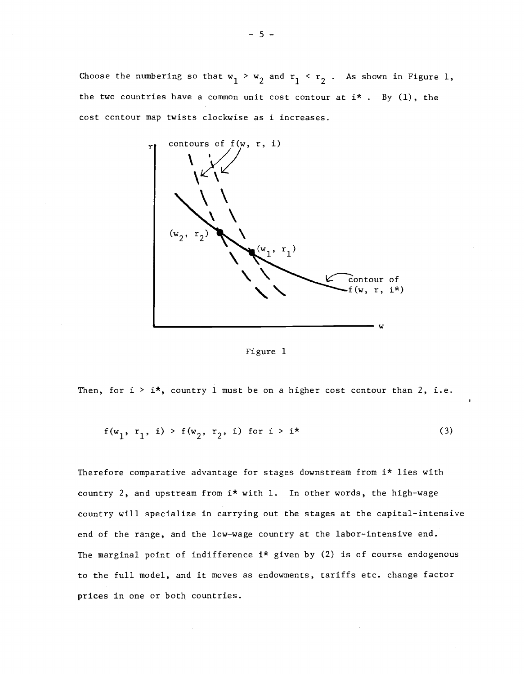Choose the numbering so that  $w_1 > w_2$  and  $r_1 < r_2$  . As shown in Figure 1, the two countries have a common unit cost contour at  ${\rm i}\star$  . By (1), the cost contour map twists clockwise as i increases.



Figure 1

Then, for  $i > i*$ , country 1 must be on a higher cost contour than 2, i.e.

$$
f(w_1, r_1, i) > f(w_2, r_2, i) \text{ for } i > i^*
$$
 (3)

Therefore comparative advantage for stages downstream from i\* lies with country 2, and upstream from  $i*$  with 1. In other words, the high-wage country will specialize in carrying out the stages at the capital—intensive end of the range, and the low—wage country at the labor—intensive end. The marginal point of indifference  $i*$  given by (2) is of course endogenous to the full model, and it moves as endowments, tariffs etc. change factor prices in one or both countries.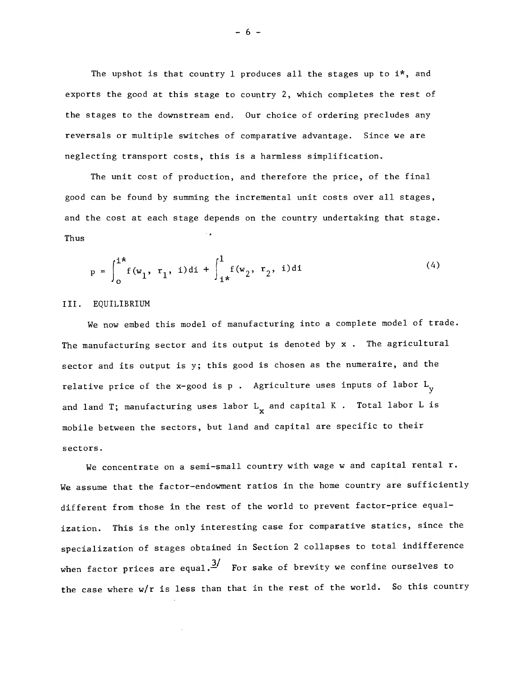The upshot is that country 1 produces all the stages up to  $i^*$ , and exports the good at this stage to country 2, which completes the rest of the stages to the downstream end. Our choice of ordering precludes any reversals or multiple switches of comparative advantage. Since we are neglecting transport costs, this is a harmless simplification.

The unit cost of production, and therefore the price, of the final good can be found by summing the incremental unit costs over all stages, and the cost at each stage depends on the country undertaking that stage. Thus

$$
p = \int_0^{i*} f(w_1, r_1, i) dt + \int_{i*}^1 f(w_2, r_2, i) dt
$$
 (4)

#### III. EQUILIBRIUM

We now embed this model of manufacturing into a complete model of trade. The manufacturing sector and its output is denoted by x . The agricultural sector and its output is y; this good is chosen as the numeraire, and the relative price of the x-good is p. Agriculture uses inputs of labor  $L_y$ and land T; manufacturing uses labor  $L_{\mathbf{y}}$  and capital K . Total labor L is mobile between the sectors, but land and capital are specific to their sectors.

We concentrate on a semi-small country with wage w and capital rental r. We assume that the factor-endowment ratios in the home country are sufficiently different from those in the rest of the world to prevent factor—price equalization. This is the only interesting case for comparative statics, since the specialization of stages obtained in Section 2 collapses to total indifference when factor prices are equal. $3/$  For sake of brevity we confine ourselves to the case where w/r is less than that in the rest of the world. So this country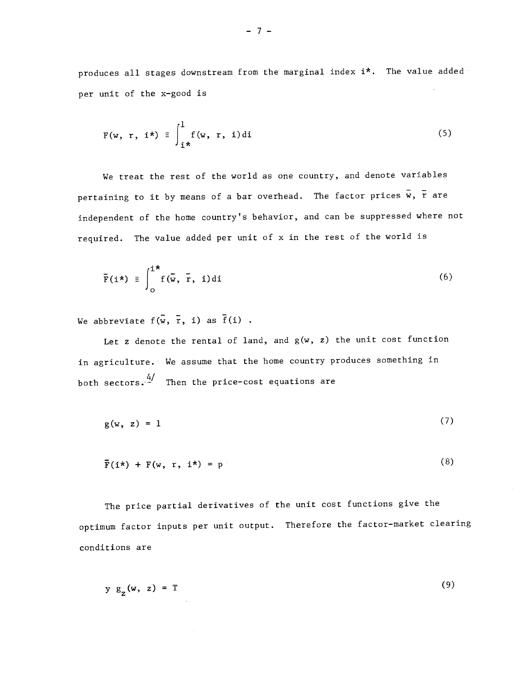produces all stages downstream from the marginal index i\*. The value added per unit of the x—good is

$$
F(w, r, i^*) \equiv \int_{i^*}^{1} f(w, r, i) di
$$
 (5)

We treat the rest of the world as one country, and denote variables pertaining to it by means of a bar overhead. The factor prices  $\overline{w}$ ,  $\overline{r}$  are independent of the home country's behavior, and can be suppressed where not required. The value added per unit of x in the rest of the world is

$$
\overline{\mathbf{F}}(\mathbf{i}^*) \equiv \int_0^{\mathbf{i}^*} \mathbf{f}(\overline{\mathbf{w}}, \overline{\mathbf{r}}, \mathbf{i}) \, \mathrm{d}\mathbf{i}
$$
 (6)

We abbreviate  $f(\overline{w}, \overline{r}, i)$  as  $\overline{f}(i)$ .

 $\sim$ 

Let  $z$  denote the rental of land, and  $g(w, z)$  the unit cost function in agriculture. We assume that the home country produces something in both sectors. $\frac{4}{1}$  Then the price-cost equations are

$$
g(w, z) = 1 \tag{7}
$$

$$
\overline{F}(i^*) + F(w, r, i^*) = p \tag{8}
$$

The price partial derivatives of the unit cost functions give the optimum factor inputs per unit output. Therefore the factor—market clearing conditions are

$$
y g_{\tau}(\mathbf{w}, z) = T \tag{9}
$$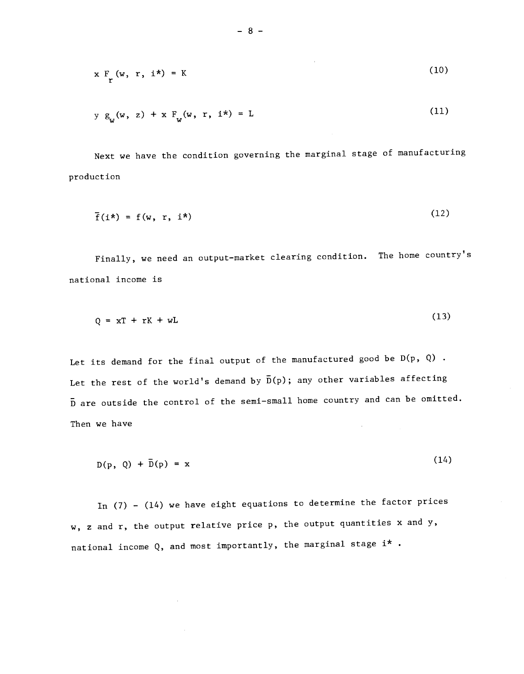$$
x F_{(w, r, i^*)} = K \tag{10}
$$

$$
y g_w(w, z) + x F_w(w, r, i^*) = L
$$
 (11)

Next we have the condition governing the marginal stage of manufacturing production

$$
\bar{f}(i^*) = f(w, r, i^*)
$$
 (12)

Finally, we need an output—market clearing condition. The home country's national income is

$$
Q = xT + rK + wL \tag{13}
$$

Let its demand for the final output of the manufactured good be  $D(p, Q)$ . Let the rest of the world's demand by  $\bar{D}(p)$ ; any other variables affecting D are outside the control of the semi—small home country and can be omitted. Then we have

 $D(p, Q) + \bar{D}(p) = x$  (14)

In (7) — (14) we have eight equations to determine the factor prices w, z and r, the output relative price p, the output quantities x and y, national income Q, and most importantly, the marginal stage  $i^*$  .

 $\sim$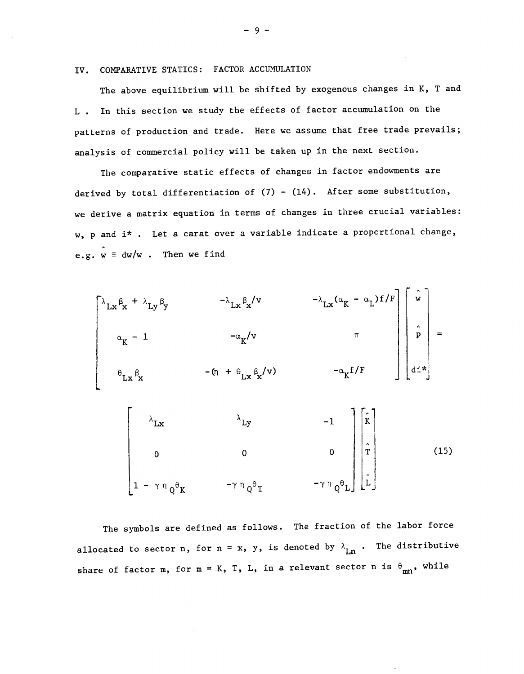IV. CONPARATIVE STATICS: FACTOR ACCUMULATION

The above equilibrium will be shifted by exogenous changes in K, T and L . In this section we study the effects of factor accumulation on the patterns of production and trade. Here we assume that free trade prevails; analysis of commercial policy will be taken up in the next section.

The comparative static effects of changes in factor endowments are derived by total differentiation of  $(7)$  -  $(14)$ . After some substitution, we derive a matrix equation in terms of changes in three crucial variables: w, p and i\* . Let a carat over a variable indicate a proportional change, e.g.  $w \equiv dw/w$  . Then we find



The symbols are defined as follows. The fraction of the labor force allocated to sector n, for n = x, y, is denoted by  $\lambda_{Ln}$ . The distributive share of factor m, for m = K, T, L, in a relevant sector n is  $\theta_{mn}$ , while

—9—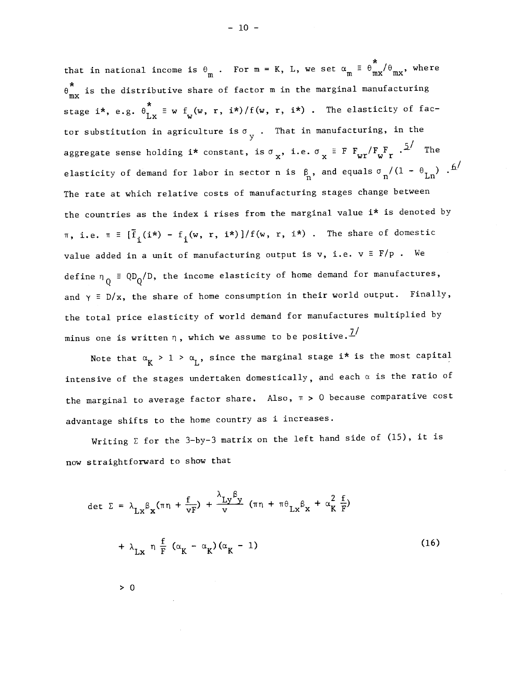$\ddot{r}$  , , that in national income is  $\theta_{\text{m}}$  . For  $\text{m = K}$ , L, we set  $\alpha_{\text{m}} \equiv \theta_{\text{m} \text{x}}^{\text{''}}/\theta_{\text{m} \text{x}}^{\text{''}}$ , where  $\theta_{mx}^{*}$  is the distributive share of factor m in the marginal manufacturing stage i\*, e.g.  $\theta_{Lx}^{*} \equiv w f_{w}(w, r, i*)/f(w, r, i*)$ . The elasticity of factor substitution in agriculture is  $\sigma_{\overline{y}}$  . That in manufacturing, in the aggregate sense holding i\* constant, is  $\sigma_{\mathbf{x}}$ , i.e.  $\sigma_{\mathbf{x}} \equiv F F_{\mathbf{wr}} / F_{\mathbf{w}} F$ .  $\frac{5}{ }$  The elasticity of demand for labor in sector n is  $\beta_n$ , and equals  $\sigma_n/(1 - \theta_{Ln})$ . The rate at which relative costs of manufacturing stages change between the countries as the index i rises from the marginal value i\* is denoted by  $\pi$ , i.e.  $\pi = [\bar{f}_{i}(i*) - f_{i}(w, r, i*)]/f(w, r, i*)$ . The share of domestic value added in a unit of manufacturing output is v, i.e.  $v \equiv F/p$  . We define  $n_{\overline{Q}}$  = QD<sub>Q</sub>/  $\equiv$  QD  $/D$ , the income elasticity of home demand for manufactures, and  $\gamma = D/x$ , the share of home consumption in their world output. Finally, the total price elasticity of world demand for manufactures multiplied by minus one is written  $\eta$ , which we assume to be positive.<sup> $\mathcal{I}'$ </sup>

Note that  $\alpha_K > 1 > \alpha_L$ , since the marginal stage i\* is the most capital intensive of the stages undertaken domestically, and each  $\alpha$  is the ratio of the marginal to average factor share. Also,  $\pi > 0$  because comparative cost advantage shifts to the home country as i increases.

Writing  $\Sigma$  for the 3-by-3 matrix on the left hand side of (15), it is now straightforward to show that

$$
\det \Sigma = \lambda_{\text{Lx}} \beta_{\text{x}} (\pi \eta + \frac{f}{\nu F}) + \frac{\lambda_{\text{Ly}} \beta_{\text{y}}}{\nu} (\pi \eta + \pi \theta_{\text{Lx}} \beta_{\text{x}} + \alpha_{\text{K}}^2 \frac{f}{F})
$$
  
+  $\lambda_{\text{Lx}} \eta \frac{f}{F} (\alpha_{\text{K}} - \alpha_{\text{K}}) (\alpha_{\text{K}} - 1)$  (16)

 $\geq 0$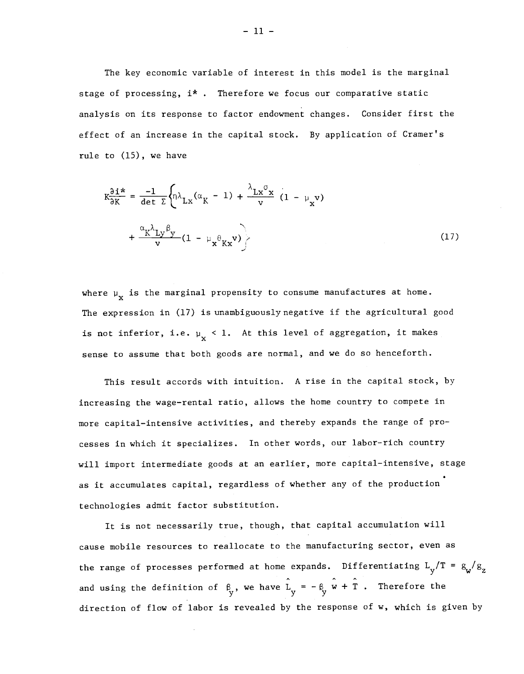The key economic variable of interest in this model is the marginal stage of processing,  $i^*$ . Therefore we focus our comparative static analysis on its response to factor endowment changes. Consider first the effect of an increase in the capital stock. By application of Cramer's rule to (15), we have

$$
K \frac{\partial i^{*}}{\partial K} = \frac{-1}{\det \Sigma} \left\{ \eta \lambda_{Lx} (\alpha_{K} - 1) + \frac{\lambda_{Lx} \sigma_{x}}{v} (1 - \mu_{x} v) + \frac{\alpha_{K} \lambda_{Ly} \beta_{y}}{v} (1 - \mu_{x} \theta_{Kx} v) \right\}
$$
(17)

where  $\mu_{\mathbf{x}}$  is the marginal propensity to consume manufactures at home. The expression in (17) is unambiguously negative if the agricultural good is not inferior, i.e.  $\mu_{\mathbf{x}} \leq 1$ . At this level of aggregation, it makes sense to assume that both goods are normal, and we do so henceforth.

This result accords with intuition. A rise in the capital stock, by increasing the wage—rental ratio, allows the home country to compete in more capital—intensive activities, and thereby expands the range of processes in which it specializes. In other words, our labor—rich country will import intermediate goods at an earlier, more capital-intensive, stage as it accumulates capital, regardless of whether any of the production technologies admit factor substitution.

It is not necessarily true, though, that capital accumulation will cause mobile resources to reallocate to the manufacturing sector, even as the range of processes performed at home expands. Differentiating  $L_v/T = g_{\omega}/g_{\chi}$ and using the definition of  $\beta_y$ , we have  $L_y = -\beta_y w + T$ . Therefore the direction of flow of labor is revealed by the response of w, which is given by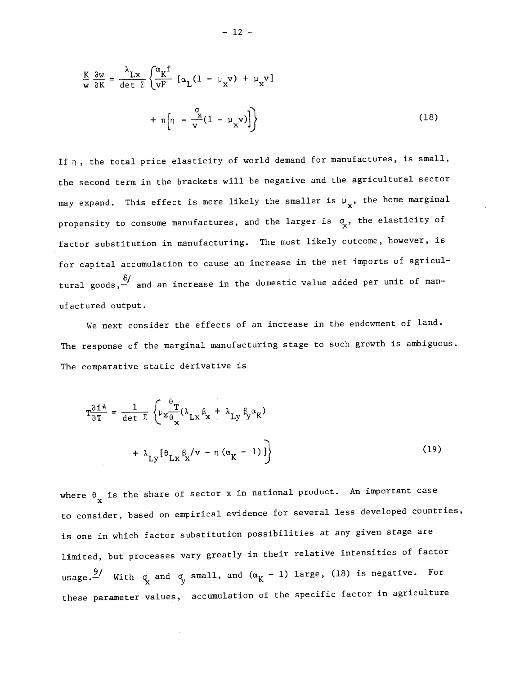$$
\frac{K}{w} \frac{\partial w}{\partial K} = \frac{\lambda_{Lx}}{\det \Sigma} \left\{ \frac{\alpha_K f}{vF} \left[ \alpha_L (1 - \mu_x v) + \mu_x v \right] + \pi \left[ \eta - \frac{\alpha}{v} (1 - \mu_x v) \right] \right\}
$$
(18)

If  $\eta$ , the total price elasticity of world demand for manufactures, is small, the second term in the brackets will be negative and the agricultural sector may expand. This effect is more likely the smaller is  $\mu_{\mathbf{x}}$ , the home marginal propensity to consume manufactures, and the larger is  $\sigma_{\mathbf{x}}^{\bullet}$ , the elasticity of factor substitution in manufacturing. The most likely outcome, however, is for capital accumulation to cause an increase in the net imports of agricul tural goods,— and an increase in the domestic value added per unit of manufactured output.

We next consider the effects of an increase in the endowment of land. The response of the marginal manufacturing stage to such growth is ambiguous. The comparative static derivative is

$$
T\frac{\partial i^*}{\partial T} = \frac{1}{\det \Sigma} \left\{ \mu_X \frac{\theta_T}{\theta_X} (\lambda_{LX} \beta_X + \lambda_{Ly} \beta_y \alpha_K) + \lambda_{Ly} [\theta_{LX} \beta_X / v - \eta (\alpha_K - 1)] \right\}
$$
(19)

where  $\theta_{\bf x}$  is the share of sector x in national product. An important case to consider, based on empirical evidence for several less developed countries, is one in which factor substitution possibilities at any given stage are limited, but processes vary greatly in their relative intensities of factor usage.<sup>9</sup>/ With  $\sigma_{\rm x}$  and  $\sigma_{\rm y}$  small, and  $(\alpha_{\rm K} - 1)$  large, (18) is negative. For these parameter values, accumulation of the specific factor in agriculture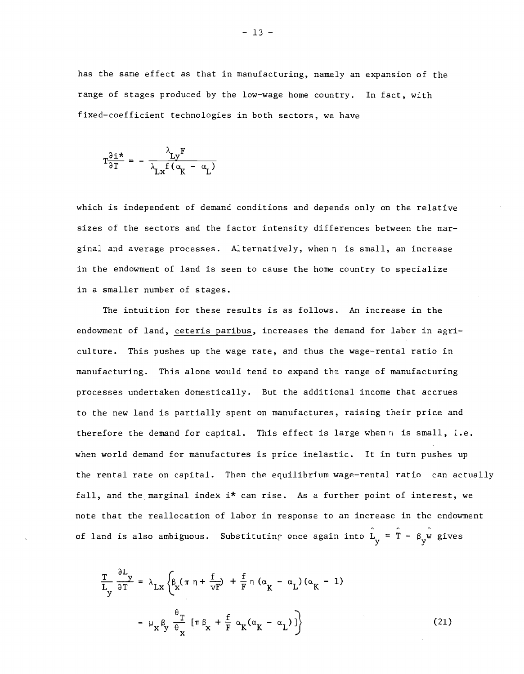has the same effect as that in manufacturing, namely an expansion of the range of stages produced by the low—wage home country. In fact, with fixed—coefficient technologies in both sectors, we have

$$
T\frac{\partial i^*}{\partial T} = -\frac{\lambda_{Ly}F}{\lambda_{Lx}f(\alpha_K - \alpha_L)}
$$

which is independent of demand conditions and depends only on the relative sizes of the sectors and the factor intensity differences between the mar ginal and average processes. Alternatively, when  $\eta$  is small, an increase in the endowment of land is seen to cause the home country to specialize in a smaller number of stages.

The intuition for these results is as follows. An increase in the endowment of land, ceteris paribus, increases the demand for labor in agriculture. This pushes up the wage rate, and thus the wage—rental ratio in manufacturing. This alone would tend to expand the range of manufacturing processes undertaken domestically. But the additional income that accrues to the new land is partially spent on manufactures, raising their price and therefore the demand for capital. This effect is large when  $\eta$  is small, i.e. when world demand for manufactures is price inelastic. It in turn pushes up the rental rate on capital. Then the equilibrium wage—rental ratio can actually fall, and the marginal index  $i*$  can rise. As a further point of interest, we note that the reallocation of labor in response to an increase in the endowment of land is also ambiguous. Substituting once again into  $\hat{L}_{v} = \hat{T} - \beta_{v} \hat{w}$  gives

$$
\frac{T}{L_y} \frac{\partial L_y}{\partial T} = \lambda_{Lx} \left\{ \beta_x (\pi \eta + \frac{f}{vF}) + \frac{f}{F} \eta (\alpha_K - \alpha_L) (\alpha_K - 1) - \mu_x \beta_y \frac{\theta_T}{\theta_x} [\pi \beta_x + \frac{f}{F} \alpha_K (\alpha_K - \alpha_L)] \right\}
$$
(21)

 $-13 -$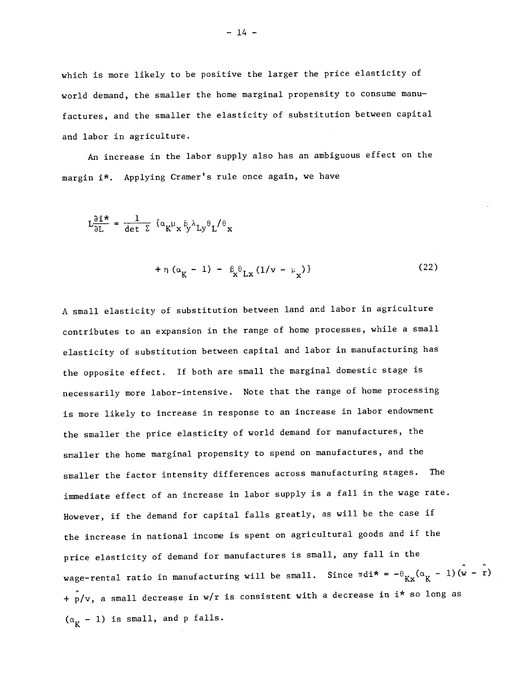which is more likely to be positive the larger the price elasticity of world demand, the smaller the home marginal propensity to consume manufactures, and the smaller the elasticity of substitution between capital and labor in agriculture.

An increase in the labor supply also has an ambiguous effect on the margin 1\*. Applying Cramer's rule once again, we have

$$
L\frac{\partial i^*}{\partial L} = \frac{1}{\det \Sigma} \left\{ \alpha_K^{\mu} x^{\beta} y^{\lambda} L y^{\theta} L'^{\theta} x \right\}
$$

$$
+ \eta \left( \alpha_{K} - 1 \right) - \beta_{K} \theta_{LX} \left( 1/v - \mu_{X} \right) \}
$$
 (22)

A small elasticity of substitution between land and labor in agriculture contributes to an expansion in the range of home processes, while a small elasticity of substitution between capital and labor in manufacturing has the opposite effect. If both are small the marginal domestic stage is necessarily more labor—intensive. Note that the range of home processing is more likely to increase in response to an increase in labor endowment the smaller the price elasticity of world demand for manufactures, the smaller the home marginal propensity to spend on manufactures, and the smaller the factor intensity differences across manufacturing stages. The immediate effect of an increase in labor supply is a fall in the wage rate. However, if the demand for capital falls greatly, as will be the case if the increase in national income is spent on agricultural goods and if the price elasticity of demand for manufactures is small, any fall in the wage-rental ratio in manufacturing will be small. Since  $\pi\text{di*} = -\theta \frac{K}{Kx}(\alpha \frac{1}{K} - 1)(w - r)$ +  $p/v$ , a small decrease in w/r is consistent with a decrease in i\* so long as  $(\alpha_{\kappa} - 1)$  is small, and p falls.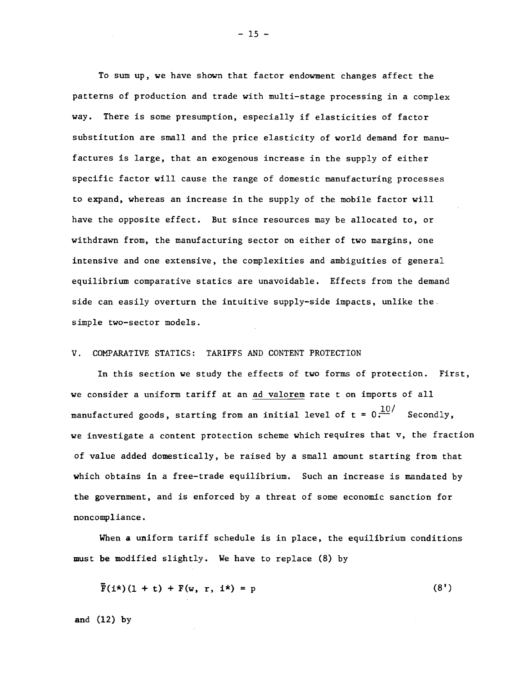To sum up, we have shown that factor endowment changes affect the patterns of production and trade with multi—stage processing in a complex way. There is some presumption, especially if elasticities of factor substitution are small and the price elasticity of world demand for manufactures is large, that an exogenous increase in the supply of either specific factor will cause the range of domestic manufacturing processes to expand, whereas an increase in the supply of the mobile factor will have the opposite effect. But since resources may be allocated to, or withdrawn from, the manufacturing sector on either of two margins, one intensive and one extensive, the complexities and ambiguities of general equilibrium comparative statics are unavoidable. Effects from the demand side can easily overturn the intuitive supply—side impacts, unlike the. simple two—sector models.

### V. COMPARATIVE STATICS: TARIFFS AND CONTENT PROTECTION

In this section we study the effects of two forms of protection. First, we consider a uniform tariff at an ad valorem rate t on imports of all manufactured goods, starting from an initial level of  $t = 0 \cdot \frac{10}{s}$  Secondly, we investigate a content protection scheme which requires that v, the fraction of value added domestically, be raised by a small amount starting from that which obtains in a free-trade equilibrium. Such an increase is mandated by the government, and is enforced by a threat of some economic sanction for noncompliance.

When a uniform tariff schedule is in place, the equilibrium conditions must be modified slightly. We have to replace (8) by

$$
\overline{F}(i\star)(1+t) + F(w, r, i\star) = p \tag{8'}
$$

and (12) by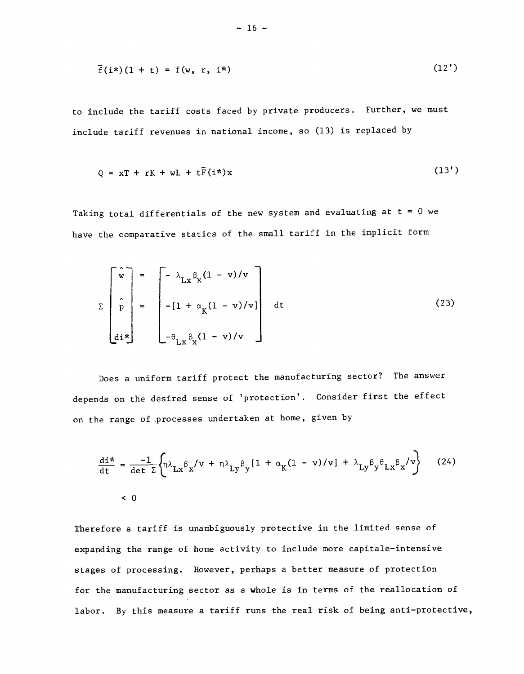$$
\overline{f}(i^{\star})(1+t) = f(w, r, i^{\star}) \qquad (12')
$$

to include the tariff costs faced by private producers. Further, we must include tariff revenues in national income, so (13) is replaced by

$$
Q = xT + rK + wL + t\bar{F}(i*)x
$$
 (13')

Taking total differentials of the new system and evaluating at  $t = 0$  we have the comparative statics of the small tariff in the implicit form

$$
\Sigma \begin{bmatrix} \hat{\mathbf{w}} \\ \hat{\mathbf{p}} \\ \hat{\mathbf{p}} \\ \mathbf{d}\mathbf{i} \mathbf{x} \end{bmatrix} = \begin{bmatrix} -\lambda_{\mathbf{L}\mathbf{x}} \beta_{\mathbf{x}} (1 - \mathbf{v}) / \mathbf{v} \\ -[1 + \alpha_{\mathbf{K}} (1 - \mathbf{v}) / \mathbf{v} ] \\ -\theta_{\mathbf{L}\mathbf{x}} \beta_{\mathbf{x}} (1 - \mathbf{v}) / \mathbf{v} \end{bmatrix}
$$
(23)

Does a uniform tariff protect the manufacturing sector? The answer depends on the desired sense of 'protection'. Consider first the effect on the range of processes undertaken at home, given by

$$
\frac{\text{di*}}{\text{dt}} = \frac{-1}{\text{det }\Sigma} \left\{ \eta \lambda_{\text{Lx}} \beta_{\text{x}} / \text{v} + \eta \lambda_{\text{Ly}} \beta_{\text{y}} [1 + \alpha_{\text{K}} (1 - \text{v}) / \text{v}] + \lambda_{\text{Ly}} \beta_{\text{y}} \theta_{\text{Lx}} \beta_{\text{x}} / \text{v} \right\} \tag{24}
$$

Therefore a tariff is unambiguously protective in the limited sense of expanding the range of home activity to include more capitale—intensive stages of processing. However, perhaps a better measure of protection for the manufacturing sector as a whole is in terms of the reallocation of labor. By this measure a tariff runs the real risk of being anti-protective,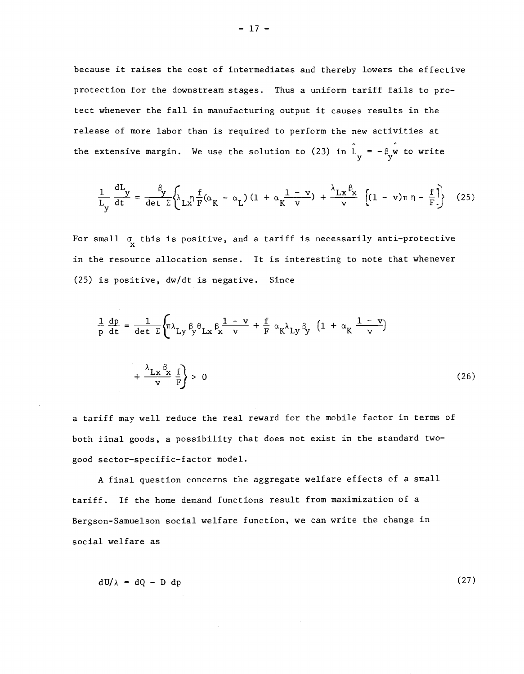because it raises the cost of intermediates and thereby lowers the effective protection for the downstream stages. Thus a uniform tariff fails to protect whenever the fall in manufacturing output it causes results in the release of more labor than is required to perform the new activities at the extensive margin. We use the solution to (23) in  $L_y = -\beta_y w$  to write

$$
\frac{1}{L_y} \frac{dL_y}{dt} = \frac{\beta}{\det \Sigma} \left\{ \lambda_L x^{\frac{1}{2}} F(\alpha_K - \alpha_L) (1 + \alpha_K \frac{1 - v}{v}) + \frac{\lambda_L x^{\beta_X}}{v} \left[ (1 - v) \pi \eta - \frac{f}{F} \right] \right\}
$$
(25)

For small  $\sigma$  this is positive, and a tariff is necessarily anti-protective in the resource allocation sense. It is interesting to note that whenever (25) is positive, dw/dt is negative. Since

$$
\frac{1}{p} \frac{dp}{dt} = \frac{1}{\det \Sigma} \left\{ \pi \lambda_{Ly} \beta_y \theta_{Lx} \beta_x \frac{1 - v}{v} + \frac{f}{F} \alpha_K \lambda_{Ly} \beta_y \left( 1 + \alpha_K \frac{1 - v}{v} \right) \right\}
$$

$$
+ \frac{\lambda_{Lx} \beta_x}{v} \frac{f}{F} \right\} > 0
$$
(26)

a tariff may well reduce the real reward for the mobile factor in terms of both final goods, a possibility that does not exist in the standard two good sector—specific—factor model.

A final question concerns the aggregate welfare effects of a small tariff. If the home demand functions result from maximization of a Bergson—Samuelson social welfare function, we can write the change in social welfare as

$$
dU/\lambda = dQ - D dp \tag{27}
$$

 $- 17 -$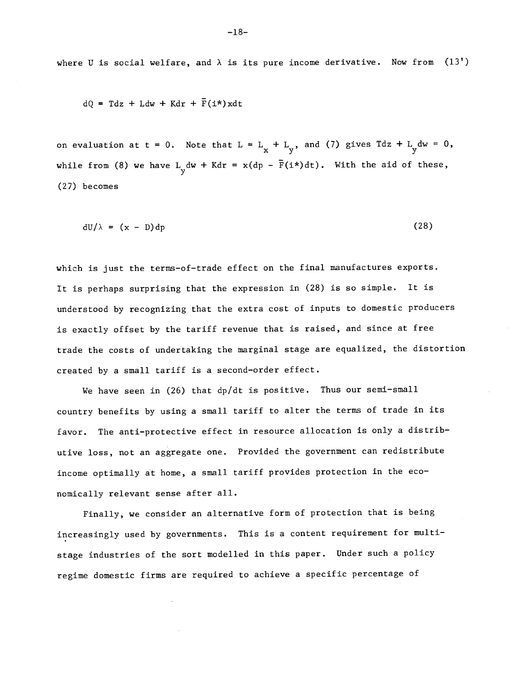where U is social welfare, and  $\lambda$  is its pure income derivative. Now from  $(13')$ 

 $dQ = Tdz + Ldw + Kdr + \bar{F}(i*)xdt$ 

on evaluation at t = 0. Note that  $L = L_x + L_y$ , and (7) gives  $Tdz + L_y dw = 0$ , while from (8) we have  $L_y$  dw + Kdr = x(dp -  $\bar{F}(i*)dt$ ). With the aid of these, (27) becomes

 $\text{d}U/\lambda = (x - D) \text{d}p$  (28)

which is just the terms—of—trade effect on the final manufactures exports. It is perhaps surprising that the expression in (28) is so simple. It is understood by recognizing that the extra cost of inputs to domestic producers is exactly offset by the tariff revenue that is raised, and since at free trade the costs of undertaking the marginal stage are equalized, the distortion created by a small tariff is a second—order effect.

We have seen in (26) that dp/dt is positive. Thus our semi-small country benefits by using a small tariff to alter the terms of trade in its favor. The anti—protective effect in resource allocation is only a distributive loss, not an aggregate one. Provided the government can redistribute income optimally at home, a small tariff provides protection in the economically relevant sense after all.

Finally, we consider an alternative form of protection that is being increasingly used by governments. This is a content requirement for multistage industries of the sort modelled in this paper. Under such a policy regime domestic firms are required to achieve a specific percentage of

—18—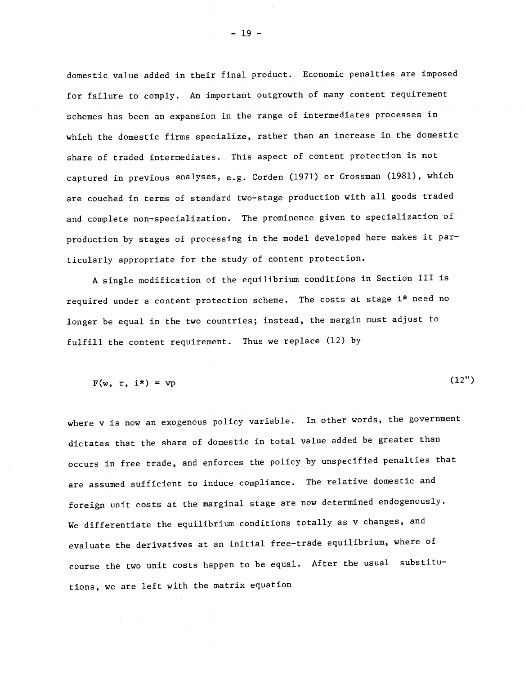domestic value added in their final product. Economic penalties are imposed for failure to comply. An important outgrowth of many content requirement schemes has been an expansion in the range of intermediates processes in which the domestic firms specialize, rather than an increase in the domestic share of traded intermediates. This aspect of content protection is not captured in previous analyses, e.g. Corden (1971) or Grossman (1981), which are couched in terms of standard two—stage production with all goods traded and complete non—specialization. The prominence given to specialization of production by stages of processing in the model developed here makes it particularly appropriate for the study of content protection.

A single modification of the equilibrium conditions in Section III is required under a content protection scheme. The costs at stage i\* need no longer be equal in the two countries; instead, the margin must adjust to fulfill the content requirement. Thus we replace (12) by

$$
F(w, r, i^*) = vp
$$
 (12")

where v is now an exogenous policy variable. In other words, the government dictates that the share of domestic in total value added be greater than occurs in free trade, and enforces the policy by unspecified penalties that are assumed sufficient to induce compliance. The relative domestic and foreign unit costs at the marginal stage are now determined endogenously. We differentiate the equilibrium conditions totally as v changes, and evaluate the derivatives at an initial free—trade equilibrium, where of course the two unit costs happen to be equal. After the usual substitutions, we are left with the matrix equation

 $-19 -$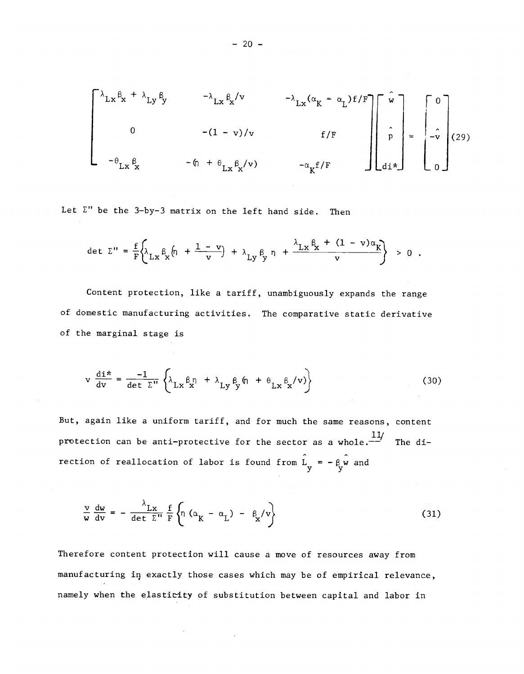$$
\begin{bmatrix}\n\lambda_{Lx} \beta_{x} + \lambda_{Ly} \beta_{y} & -\lambda_{Lx} \beta_{x}/v & -\lambda_{Lx} (\alpha_{K} - \alpha_{L}) f/F \\
0 & -(1 - v)/v & f/F \\
-\theta_{Lx} \beta_{x} & -\theta_{1} + \theta_{Lx} \beta_{x}/v & -\alpha_{K} f/F\n\end{bmatrix}\n\begin{bmatrix}\n\hat{w} \\
\hat{p} \\
\hat{p} \\
\hat{dl}\n\end{bmatrix} = \n\begin{bmatrix}\n0 \\
-\hat{v} \\
0\n\end{bmatrix}
$$
(29)

Let  $\Sigma$ " be the 3-by-3 matrix on the left hand side. Then

$$
\det \Sigma'' = \frac{f}{F} \left\{ \lambda_{Lx} \beta_x \left( \eta + \frac{1 - v}{v} \right) + \lambda_{Ly} \beta_y \eta + \frac{\lambda_{Lx} \beta_x + (1 - v) \alpha_K}{v} \right\} > 0.
$$

Content protection, like a tariff, unambiguously expands the range of domestic manufacturing activities. The comparative static derivative of the marginal stage is

$$
v \frac{di^{*}}{dv} = \frac{-1}{\det \Sigma^{i}} \left\{ \lambda_{Lx} \beta_{x} \eta + \lambda_{Ly} \beta_{y} \eta + \theta_{Lx} \beta_{x}/v \right\}
$$
(30)

But, again like a uniform tariff, and for much the same reasons, content protection can be anti-protective for the sector as a whole. $\frac{11}{100}$  The direction of reallocation of labor is found from  $L = -\frac{\beta}{y}w$  and

$$
\frac{\mathbf{v}}{\mathbf{w}} \frac{d\mathbf{w}}{d\mathbf{v}} = -\frac{\lambda_{\mathbf{L}\mathbf{x}}}{\det \Sigma^{\mathbf{u}}} \frac{f}{F} \left\{ \mathbf{n} \left( \alpha_{\mathbf{K}} - \alpha_{\mathbf{L}} \right) - \beta_{\mathbf{x}} / \mathbf{v} \right\} \tag{31}
$$

Therefore content protection will cause a move of resources away from manufacturing in exactly those cases which may be of empirical relevance, namely when the elasticity of substitution between capital and labor in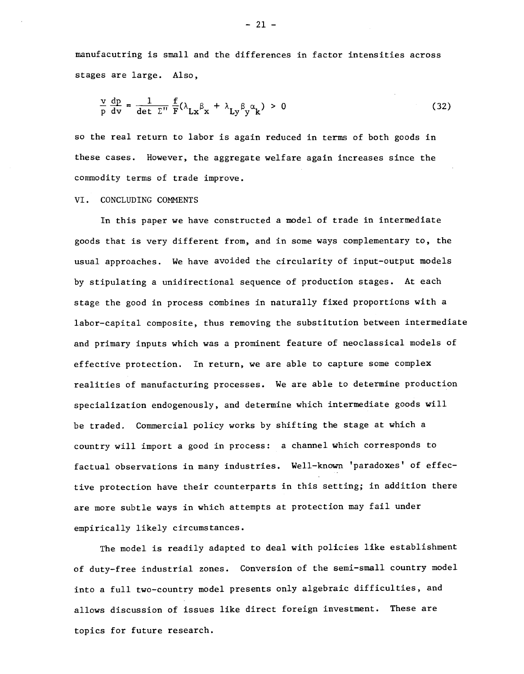manufacutring is small and the differences in factor intensities across stages are large. Also,

$$
\frac{\nu}{p} \frac{dp}{dv} = \frac{1}{\det \Sigma''} \frac{f}{F} (\lambda_{Lx} \beta_x + \lambda_{Ly} \beta_y \alpha_k) > 0
$$
 (32)

so the real return to labor is again reduced in terms of both goods in these cases. However, the aggregate welfare again increases since the commodity terms of trade improve.

#### VI. CONCLUDING COMMENTS

In this paper we have constructed a model of trade in intermediate goods that is very different from, and in some ways complementary to, the usual approaches. We have avoided the circularity of input—output models by stipulating a unidirectional sequence of production stages. At each stage the good in process combines in naturally fixed proportions with a labor—capital composite, thus removing the substitution between intermediate and primary inputs which was a prominent feature of neoclassical models of effective protection. In return, we are able to capture some complex realities of manufacturing processes. We are able to determine production specialization endogenously, and determine which intermediate goods will be traded. Commercial policy works by shifting the stage at which a country will import a good in process: a channel which corresponds to factual observations in many industries. Well—known 'paradoxes' of effective protection have their counterparts in this setting; in addition there are more subtle ways in which attempts at protection may fail under empirically likely circumstances.

The model is readily adapted to deal with policies like establishment of duty—free industrial zones. Conversion of the semi—small country model into a full two—country model presents only algebraic difficulties, and allows discussion of issues like direct foreign investment. These are topics for future research.

 $-21 -$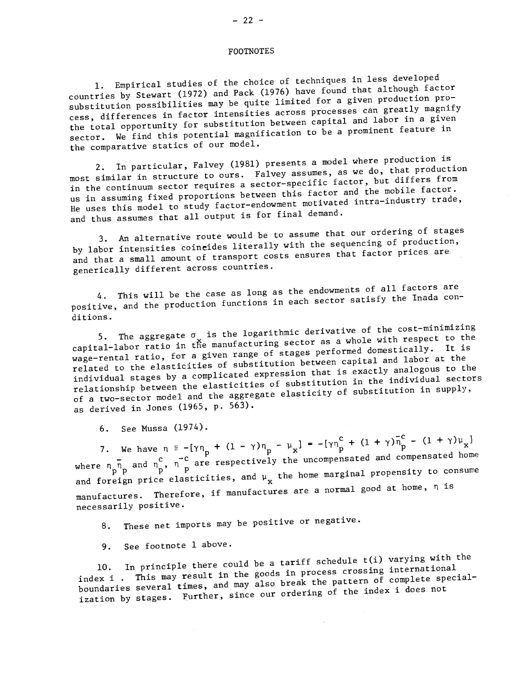FOOTNOTES

1. Empirical studies of the choice of techniques in less developed countries by Stewart (1972) and Pack (1976) have found that although factor substitution possibilities may be quite limited for a given production process, differences in factor intensities across processes can greatly magnify the total opportunity for substitution between between capital and labor in a given sector. We find this potential magnification to be a prominent feature in the comparative statics of our model.

2. In particular, Falvey (1981) presents a model where production is most similar in structure to ours. Falvey assumes, as we do, that production in the continuum sector requires a sector—specific factor, but differs from us in assuming fixed proportions between this factor and the mobile factor. He uses this model to study factor-endowment motivated intra-industry trade, and thus assumes that all output is for final demand.

3. An alternative route would be to assume that our ordering of stages by labor intensities coineides literally with the sequencing of production, and that a small amount of transport costs ensures that factor prices are generically different across countries.

4. This will be the case as long as the endowments of all factors are positive, and the production functions in each sector satisfy the Inada conditions.

5. The aggregate  $\sigma_{\downarrow}$  is the logarithmic derivative of the cost-minimizing 5. The aggregate of is the regardance sector as a whole with respect to the<br>capital-labor ratio in the manufacturing sector performed domestically. It is wage-rental ratio, for a given range of stages performed domestically. It is related to the elasticities of substitution between capital and labor at the related to the elasticities of substitution becaused in exactly analogous to the<br>individual stages by a complicated expression that is the individual sectors relationship between the elasticities of substitution in the individual sectors of a two—sector model and the aggregate elasticity of substitution in supply, as derived in Jones (1965, p. 563).

6. See Mussa (1974).<br>7. We have  $\eta = -[\gamma \eta_p + (1 - \gamma) \eta_p - \mu_x] = -[\gamma \eta_p^C + (1 + \gamma) \overline{\eta}_p^C - (1 + \gamma) \mu_x]$ where  $\overline{n}_{\rm m}$  and  $\overline{n}_{\rm m}^{\rm C}$ ,  $\overline{n}_{\rm m}^{\rm C}$  are respectively the uncompensated and compensated home and foreign price elasticities, and  $\mu_{\bf x}$  the home marginal propensity to consume manufactures. Therefore, if manufactures are a normal good at home, n is necessarily positive.

8. These net imports may be positive or negative.

9. See footnote 1 above.

In principle there could be a tariff schedule  $t(i)$  varying with the index 1 . This may result in the goods in process crossing international boundaries several times, and may also break the pattern of complete specialization by stages. Further, since our ordering of the index i does not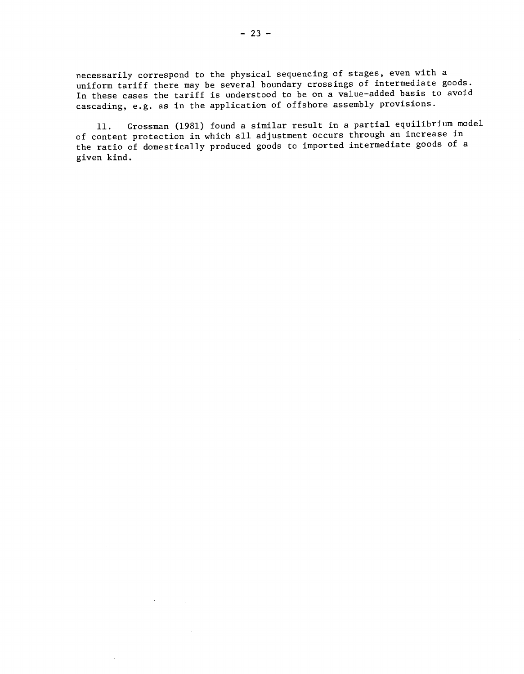necessarily correspond to the physical sequencing of stages, even with a uniform tariff there may be several boundary crossings of intermediate goods. In these cases the tariff is understood to be on a value—added basis to avoid cascading, e.g. as in the application of offshore assembly provisions.

11. Grossman (1981) found a similar result in a partial equilibrium model of content protection in which all adjustment occurs through an increase in the ratio of domestically produced goods to imported intermediate goods of a given kind.

 $\mathcal{A}^{\text{max}}_{\text{max}}$  and  $\mathcal{A}^{\text{max}}_{\text{max}}$ 

 $\mathcal{A}$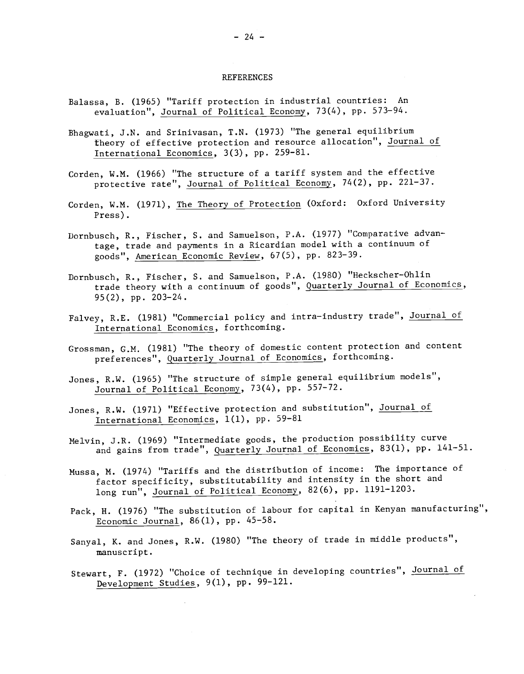#### REFERENCES

- Balassa, B. (1965) "Tariff protection in industrial countries: An evaluation", Journal of Political Economy, 73(4), pp. 573—94.
- Bhagwati, J.N. and Srinivasan, T.N. (1973) "The general equilibrium theory of effective protection and resource allocation", Journal of International Economics, 3(3), pp. 259—81.
- Corden, W.M. (1966) "The structure of a tariff system and the effective protective rate", Journal of Political Economy, 74(2), pp. 221—37.
- Corden, W.M. (1971), The Theory of Protection (Oxford: Oxford University Press).
- Dornbusch, R., Fischer, S. and Samuelson, P.A. (1977) "Comparative advantage, trade and payments in a Ricardian model with a continuum of goods", American Economic Review, 67(5), pp. 823—39.
- Dornbusch, R., Fischer, S. and Samuelson, P.A. (1980) "Heckscher—Ohlin trade theory with a continuum of goods", Quarterly Journal of Economics, 95(2), pp. 203—24.
- Falvey, R.E. (1981) "Commercial policy and intra—industry trade", Journal of International Economics, forthcoming.
- Grossman, G.M. (1981) "The theory of domestic content protection and content preferences", Quarterly Journal of Economics, forthcoming.
- Jones, R.W. (1965) "The structure of simple general equilibrium models", Journal of Political Economy, 73(4), pp. 557—72.
- Jones, R.W. (1971) "Effective protection and substitution", Journal of International Economics, 1(1), pp. 59—81
- Melvin, J.R. (1969) "Intermediate goods, the production possibility curve and gains from trade", Quarterly Journal of Economics, 83(1), pp. 141—51.
- Nussa, M. (1974) "Tariffs and the distribution of income: The importance of factor specificity, substitutability and intensity in the short and long run", Journal of Political Economy, 82(6), pp. 1191-1203.
- Pack, H. (1976) "The substitution of labour for capital in Kenyan manufacturing", Economic Journal,  $86(1)$ , pp.  $45-58$ .
- Sanyal, K. and Jones, R.W. (1980) "The theory of trade in middle products", manuscript.
- Stewart, F. (1972) "Choice of technique in developing countries", Journal of Development Studies, 9(1), pp. 99—121.